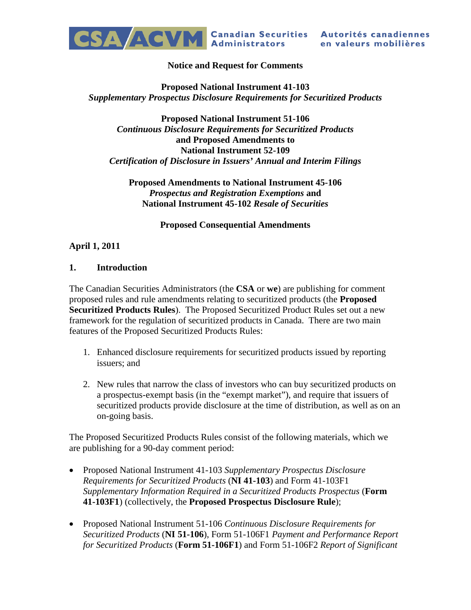

#### **Notice and Request for Comments**

#### **Proposed National Instrument 41-103** *Supplementary Prospectus Disclosure Requirements for Securitized Products*

#### **Proposed National Instrument 51-106** *Continuous Disclosure Requirements for Securitized Products* **and Proposed Amendments to National Instrument 52-109** *Certification of Disclosure in Issuers' Annual and Interim Filings*

#### **Proposed Amendments to National Instrument 45-106** *Prospectus and Registration Exemptions* **and National Instrument 45-102** *Resale of Securities*

**Proposed Consequential Amendments**

## **April 1, 2011**

#### **1. Introduction**

The Canadian Securities Administrators (the **CSA** or **we**) are publishing for comment proposed rules and rule amendments relating to securitized products (the **Proposed Securitized Products Rules**). The Proposed Securitized Product Rules set out a new framework for the regulation of securitized products in Canada. There are two main features of the Proposed Securitized Products Rules:

- 1. Enhanced disclosure requirements for securitized products issued by reporting issuers; and
- 2. New rules that narrow the class of investors who can buy securitized products on a prospectus-exempt basis (in the "exempt market"), and require that issuers of securitized products provide disclosure at the time of distribution, as well as on an on-going basis.

The Proposed Securitized Products Rules consist of the following materials, which we are publishing for a 90-day comment period:

- Proposed National Instrument 41-103 *Supplementary Prospectus Disclosure Requirements for Securitized Products* (**NI 41-103**) and Form 41-103F1 *Supplementary Information Required in a Securitized Products Prospectus* (**Form 41-103F1**) (collectively, the **Proposed Prospectus Disclosure Rule**);
- Proposed National Instrument 51-106 *Continuous Disclosure Requirements for Securitized Products* (**NI 51-106**), Form 51-106F1 *Payment and Performance Report for Securitized Products* (**Form 51-106F1**) and Form 51-106F2 *Report of Significant*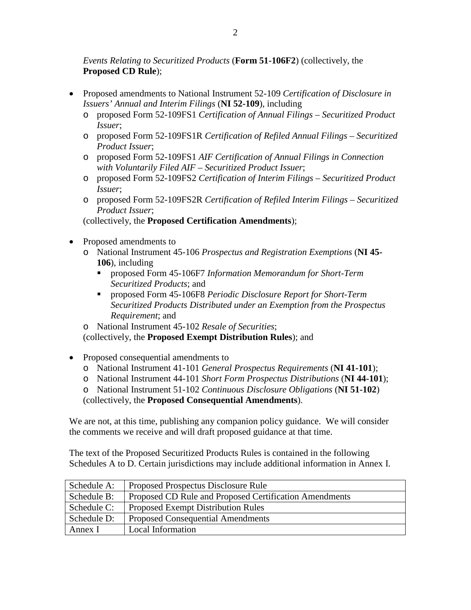*Events Relating to Securitized Products* (**Form 51-106F2**) (collectively, the **Proposed CD Rule**);

- Proposed amendments to National Instrument 52-109 *Certification of Disclosure in Issuers' Annual and Interim Filings* (**NI 52-109**), including
	- o proposed Form 52-109FS1 *Certification of Annual Filings Securitized Product Issuer*;
	- o proposed Form 52-109FS1R *Certification of Refiled Annual Filings Securitized Product Issuer*;
	- o proposed Form 52-109FS1 *AIF Certification of Annual Filings in Connection with Voluntarily Filed AIF – Securitized Product Issuer*;
	- o proposed Form 52-109FS2 *Certification of Interim Filings Securitized Product Issuer*;
	- o proposed Form 52-109FS2R *Certification of Refiled Interim Filings Securitized Product Issuer*;

(collectively, the **Proposed Certification Amendments**);

- Proposed amendments to
	- o National Instrument 45-106 *Prospectus and Registration Exemptions* (**NI 45- 106**), including
		- proposed Form 45-106F7 *Information Memorandum for Short-Term Securitized Products*; and
		- proposed Form 45-106F8 *Periodic Disclosure Report for Short-Term Securitized Products Distributed under an Exemption from the Prospectus Requirement*; and
	- o National Instrument 45-102 *Resale of Securities*;

(collectively, the **Proposed Exempt Distribution Rules**); and

- Proposed consequential amendments to
	- o National Instrument 41-101 *General Prospectus Requirements* (**NI 41-101**);
	- o National Instrument 44-101 *Short Form Prospectus Distributions* (**NI 44-101**);
	- o National Instrument 51-102 *Continuous Disclosure Obligations* (**NI 51-102**)

(collectively, the **Proposed Consequential Amendments**).

We are not, at this time, publishing any companion policy guidance. We will consider the comments we receive and will draft proposed guidance at that time.

The text of the Proposed Securitized Products Rules is contained in the following Schedules A to D. Certain jurisdictions may include additional information in Annex I.

| Schedule A: | Proposed Prospectus Disclosure Rule                    |
|-------------|--------------------------------------------------------|
| Schedule B: | Proposed CD Rule and Proposed Certification Amendments |
| Schedule C: | <b>Proposed Exempt Distribution Rules</b>              |
| Schedule D: | <b>Proposed Consequential Amendments</b>               |
| Annex I     | Local Information                                      |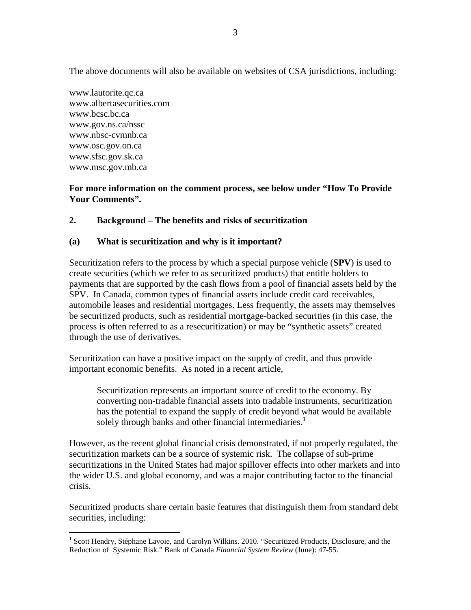The above documents will also be available on websites of CSA jurisdictions, including:

www.lautorite.qc.ca www.albertasecurities.com www.bcsc.bc.ca www.gov.ns.ca/nssc www.nbsc-cvmnb.ca www.osc.gov.on.ca www.sfsc.gov.sk.ca www.msc.gov.mb.ca

#### **For more information on the comment process, see below under "How To Provide Your Comments".**

## **2. Background – The benefits and risks of securitization**

## **(a) What is securitization and why is it important?**

Securitization refers to the process by which a special purpose vehicle (**SPV**) is used to create securities (which we refer to as securitized products) that entitle holders to payments that are supported by the cash flows from a pool of financial assets held by the SPV. In Canada, common types of financial assets include credit card receivables, automobile leases and residential mortgages. Less frequently, the assets may themselves be securitized products, such as residential mortgage-backed securities (in this case, the process is often referred to as a resecuritization) or may be "synthetic assets" created through the use of derivatives.

Securitization can have a positive impact on the supply of credit, and thus provide important economic benefits. As noted in a recent article,

Securitization represents an important source of credit to the economy. By converting non-tradable financial assets into tradable instruments, securitization has the potential to expand the supply of credit beyond what would be available solely through banks and other financial intermediaries.<sup>[1](#page-2-0)</sup>

However, as the recent global financial crisis demonstrated, if not properly regulated, the securitization markets can be a source of systemic risk. The collapse of sub-prime securitizations in the United States had major spillover effects into other markets and into the wider U.S. and global economy, and was a major contributing factor to the financial crisis.

Securitized products share certain basic features that distinguish them from standard debt securities, including:

<span id="page-2-0"></span><sup>&</sup>lt;sup>1</sup> Scott Hendry, Stéphane Lavoie, and Carolyn Wilkins. 2010. "Securitized Products, Disclosure, and the Reduction of Systemic Risk." Bank of Canada *Financial System Review* (June): 47-55.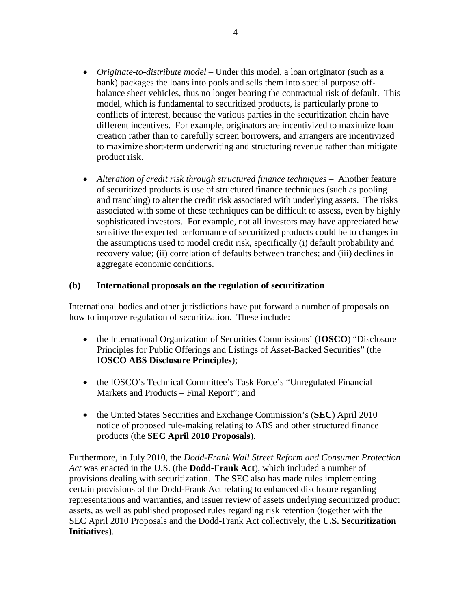- *Originate-to-distribute model* Under this model, a loan originator (such as a bank) packages the loans into pools and sells them into special purpose offbalance sheet vehicles, thus no longer bearing the contractual risk of default. This model, which is fundamental to securitized products, is particularly prone to conflicts of interest, because the various parties in the securitization chain have different incentives. For example, originators are incentivized to maximize loan creation rather than to carefully screen borrowers, and arrangers are incentivized to maximize short-term underwriting and structuring revenue rather than mitigate product risk.
- *Alteration of credit risk through structured finance techniques* Another feature of securitized products is use of structured finance techniques (such as pooling and tranching) to alter the credit risk associated with underlying assets. The risks associated with some of these techniques can be difficult to assess, even by highly sophisticated investors. For example, not all investors may have appreciated how sensitive the expected performance of securitized products could be to changes in the assumptions used to model credit risk, specifically (i) default probability and recovery value; (ii) correlation of defaults between tranches; and (iii) declines in aggregate economic conditions.

#### **(b) International proposals on the regulation of securitization**

International bodies and other jurisdictions have put forward a number of proposals on how to improve regulation of securitization. These include:

- the International Organization of Securities Commissions' (**IOSCO**) "Disclosure Principles for Public Offerings and Listings of Asset-Backed Securities" (the **IOSCO ABS Disclosure Principles**);
- the IOSCO's Technical Committee's Task Force's "Unregulated Financial" Markets and Products – Final Report"; and
- the United States Securities and Exchange Commission's (**SEC**) April 2010 notice of proposed rule-making relating to ABS and other structured finance products (the **SEC April 2010 Proposals**).

Furthermore, in July 2010, the *Dodd-Frank Wall Street Reform and Consumer Protection Act* was enacted in the U.S. (the **Dodd-Frank Act**), which included a number of provisions dealing with securitization. The SEC also has made rules implementing certain provisions of the Dodd-Frank Act relating to enhanced disclosure regarding representations and warranties, and issuer review of assets underlying securitized product assets, as well as published proposed rules regarding risk retention (together with the SEC April 2010 Proposals and the Dodd-Frank Act collectively, the **U.S. Securitization Initiatives**).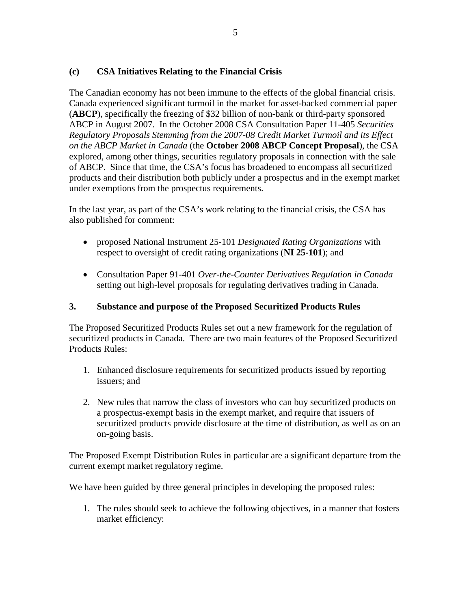## **(c) CSA Initiatives Relating to the Financial Crisis**

The Canadian economy has not been immune to the effects of the global financial crisis. Canada experienced significant turmoil in the market for asset-backed commercial paper (**ABCP**), specifically the freezing of \$32 billion of non-bank or third-party sponsored ABCP in August 2007. In the October 2008 CSA Consultation Paper 11-405 *Securities Regulatory Proposals Stemming from the 2007-08 Credit Market Turmoil and its Effect on the ABCP Market in Canada* (the **October 2008 ABCP Concept Proposal**), the CSA explored, among other things, securities regulatory proposals in connection with the sale of ABCP. Since that time, the CSA's focus has broadened to encompass all securitized products and their distribution both publicly under a prospectus and in the exempt market under exemptions from the prospectus requirements.

In the last year, as part of the CSA's work relating to the financial crisis, the CSA has also published for comment:

- proposed National Instrument 25-101 *Designated Rating Organizations* with respect to oversight of credit rating organizations (**NI 25-101**); and
- Consultation Paper 91-401 *Over-the-Counter Derivatives Regulation in Canada* setting out high-level proposals for regulating derivatives trading in Canada.

#### **3. Substance and purpose of the Proposed Securitized Products Rules**

The Proposed Securitized Products Rules set out a new framework for the regulation of securitized products in Canada. There are two main features of the Proposed Securitized Products Rules:

- 1. Enhanced disclosure requirements for securitized products issued by reporting issuers; and
- 2. New rules that narrow the class of investors who can buy securitized products on a prospectus-exempt basis in the exempt market, and require that issuers of securitized products provide disclosure at the time of distribution, as well as on an on-going basis.

The Proposed Exempt Distribution Rules in particular are a significant departure from the current exempt market regulatory regime.

We have been guided by three general principles in developing the proposed rules:

1. The rules should seek to achieve the following objectives, in a manner that fosters market efficiency: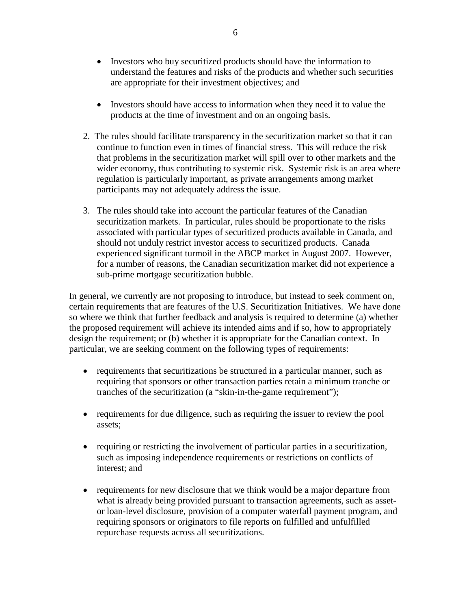- Investors who buy securitized products should have the information to understand the features and risks of the products and whether such securities are appropriate for their investment objectives; and
- Investors should have access to information when they need it to value the products at the time of investment and on an ongoing basis.
- 2. The rules should facilitate transparency in the securitization market so that it can continue to function even in times of financial stress. This will reduce the risk that problems in the securitization market will spill over to other markets and the wider economy, thus contributing to systemic risk. Systemic risk is an area where regulation is particularly important, as private arrangements among market participants may not adequately address the issue.
- 3. The rules should take into account the particular features of the Canadian securitization markets. In particular, rules should be proportionate to the risks associated with particular types of securitized products available in Canada, and should not unduly restrict investor access to securitized products. Canada experienced significant turmoil in the ABCP market in August 2007. However, for a number of reasons, the Canadian securitization market did not experience a sub-prime mortgage securitization bubble.

In general, we currently are not proposing to introduce, but instead to seek comment on, certain requirements that are features of the U.S. Securitization Initiatives. We have done so where we think that further feedback and analysis is required to determine (a) whether the proposed requirement will achieve its intended aims and if so, how to appropriately design the requirement; or (b) whether it is appropriate for the Canadian context. In particular, we are seeking comment on the following types of requirements:

- requirements that securitizations be structured in a particular manner, such as requiring that sponsors or other transaction parties retain a minimum tranche or tranches of the securitization (a "skin-in-the-game requirement");
- requirements for due diligence, such as requiring the issuer to review the pool assets;
- requiring or restricting the involvement of particular parties in a securitization, such as imposing independence requirements or restrictions on conflicts of interest; and
- requirements for new disclosure that we think would be a major departure from what is already being provided pursuant to transaction agreements, such as assetor loan-level disclosure, provision of a computer waterfall payment program, and requiring sponsors or originators to file reports on fulfilled and unfulfilled repurchase requests across all securitizations.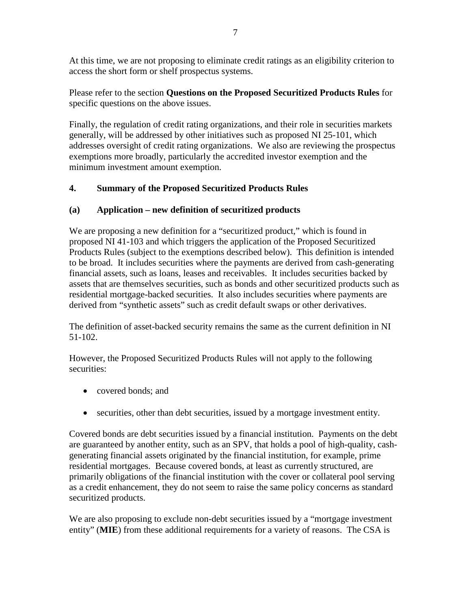At this time, we are not proposing to eliminate credit ratings as an eligibility criterion to access the short form or shelf prospectus systems.

Please refer to the section **Questions on the Proposed Securitized Products Rules** for specific questions on the above issues.

Finally, the regulation of credit rating organizations, and their role in securities markets generally, will be addressed by other initiatives such as proposed NI 25-101, which addresses oversight of credit rating organizations. We also are reviewing the prospectus exemptions more broadly, particularly the accredited investor exemption and the minimum investment amount exemption.

# **4. Summary of the Proposed Securitized Products Rules**

# **(a) Application – new definition of securitized products**

We are proposing a new definition for a "securitized product," which is found in proposed NI 41-103 and which triggers the application of the Proposed Securitized Products Rules (subject to the exemptions described below). This definition is intended to be broad. It includes securities where the payments are derived from cash-generating financial assets, such as loans, leases and receivables. It includes securities backed by assets that are themselves securities, such as bonds and other securitized products such as residential mortgage-backed securities. It also includes securities where payments are derived from "synthetic assets" such as credit default swaps or other derivatives.

The definition of asset-backed security remains the same as the current definition in NI 51-102.

However, the Proposed Securitized Products Rules will not apply to the following securities:

- covered bonds: and
- securities, other than debt securities, issued by a mortgage investment entity.

Covered bonds are debt securities issued by a financial institution. Payments on the debt are guaranteed by another entity, such as an SPV, that holds a pool of high-quality, cashgenerating financial assets originated by the financial institution, for example, prime residential mortgages. Because covered bonds, at least as currently structured, are primarily obligations of the financial institution with the cover or collateral pool serving as a credit enhancement, they do not seem to raise the same policy concerns as standard securitized products.

We are also proposing to exclude non-debt securities issued by a "mortgage investment" entity" (**MIE**) from these additional requirements for a variety of reasons. The CSA is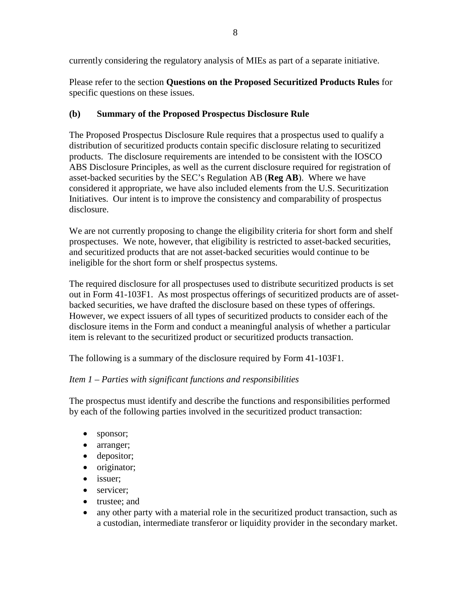Please refer to the section **Questions on the Proposed Securitized Products Rules** for specific questions on these issues.

## **(b) Summary of the Proposed Prospectus Disclosure Rule**

The Proposed Prospectus Disclosure Rule requires that a prospectus used to qualify a distribution of securitized products contain specific disclosure relating to securitized products. The disclosure requirements are intended to be consistent with the IOSCO ABS Disclosure Principles, as well as the current disclosure required for registration of asset-backed securities by the SEC's Regulation AB (**Reg AB**). Where we have considered it appropriate, we have also included elements from the U.S. Securitization Initiatives. Our intent is to improve the consistency and comparability of prospectus disclosure.

We are not currently proposing to change the eligibility criteria for short form and shelf prospectuses. We note, however, that eligibility is restricted to asset-backed securities, and securitized products that are not asset-backed securities would continue to be ineligible for the short form or shelf prospectus systems.

The required disclosure for all prospectuses used to distribute securitized products is set out in Form 41-103F1. As most prospectus offerings of securitized products are of assetbacked securities, we have drafted the disclosure based on these types of offerings. However, we expect issuers of all types of securitized products to consider each of the disclosure items in the Form and conduct a meaningful analysis of whether a particular item is relevant to the securitized product or securitized products transaction.

The following is a summary of the disclosure required by Form 41-103F1.

## *Item 1 – Parties with significant functions and responsibilities*

The prospectus must identify and describe the functions and responsibilities performed by each of the following parties involved in the securitized product transaction:

- sponsor;
- arranger;
- depositor;
- originator;
- issuer;
- servicer:
- trustee; and
- any other party with a material role in the securitized product transaction, such as a custodian, intermediate transferor or liquidity provider in the secondary market.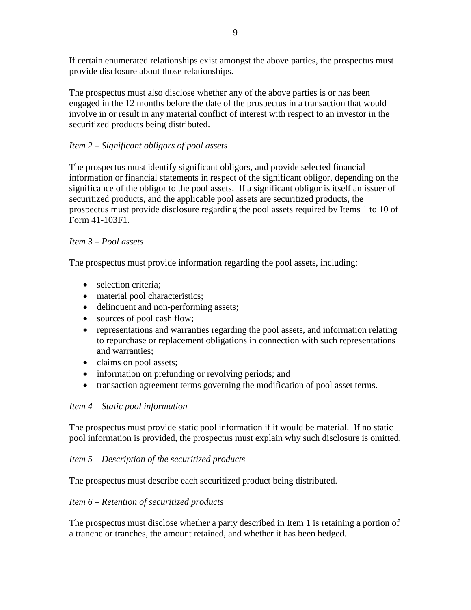If certain enumerated relationships exist amongst the above parties, the prospectus must provide disclosure about those relationships.

The prospectus must also disclose whether any of the above parties is or has been engaged in the 12 months before the date of the prospectus in a transaction that would involve in or result in any material conflict of interest with respect to an investor in the securitized products being distributed.

## *Item 2 – Significant obligors of pool assets*

The prospectus must identify significant obligors, and provide selected financial information or financial statements in respect of the significant obligor, depending on the significance of the obligor to the pool assets. If a significant obligor is itself an issuer of securitized products, and the applicable pool assets are securitized products, the prospectus must provide disclosure regarding the pool assets required by Items 1 to 10 of Form 41-103F1.

## *Item 3 – Pool assets*

The prospectus must provide information regarding the pool assets, including:

- selection criteria;
- material pool characteristics;
- delinquent and non-performing assets;
- sources of pool cash flow;
- representations and warranties regarding the pool assets, and information relating to repurchase or replacement obligations in connection with such representations and warranties;
- claims on pool assets;
- information on prefunding or revolving periods; and
- transaction agreement terms governing the modification of pool asset terms.

## *Item 4 – Static pool information*

The prospectus must provide static pool information if it would be material. If no static pool information is provided, the prospectus must explain why such disclosure is omitted.

## *Item 5 – Description of the securitized products*

The prospectus must describe each securitized product being distributed.

## *Item 6 – Retention of securitized products*

The prospectus must disclose whether a party described in Item 1 is retaining a portion of a tranche or tranches, the amount retained, and whether it has been hedged.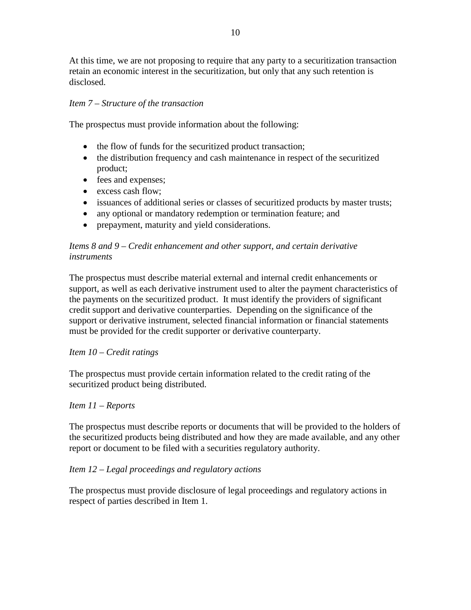At this time, we are not proposing to require that any party to a securitization transaction retain an economic interest in the securitization, but only that any such retention is disclosed.

## *Item 7 – Structure of the transaction*

The prospectus must provide information about the following:

- the flow of funds for the securitized product transaction;
- the distribution frequency and cash maintenance in respect of the securitized product;
- fees and expenses;
- excess cash flow;
- issuances of additional series or classes of securitized products by master trusts;
- any optional or mandatory redemption or termination feature; and
- prepayment, maturity and yield considerations.

## *Items 8 and 9 – Credit enhancement and other support, and certain derivative instruments*

The prospectus must describe material external and internal credit enhancements or support, as well as each derivative instrument used to alter the payment characteristics of the payments on the securitized product. It must identify the providers of significant credit support and derivative counterparties. Depending on the significance of the support or derivative instrument, selected financial information or financial statements must be provided for the credit supporter or derivative counterparty.

## *Item 10 – Credit ratings*

The prospectus must provide certain information related to the credit rating of the securitized product being distributed.

## *Item 11 – Reports*

The prospectus must describe reports or documents that will be provided to the holders of the securitized products being distributed and how they are made available, and any other report or document to be filed with a securities regulatory authority.

## *Item 12 – Legal proceedings and regulatory actions*

The prospectus must provide disclosure of legal proceedings and regulatory actions in respect of parties described in Item 1.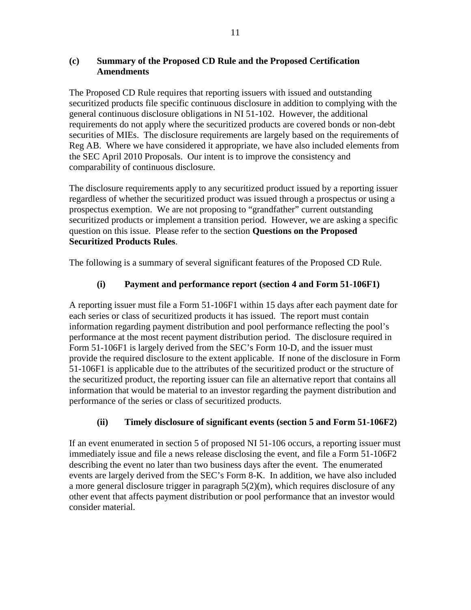## **(c) Summary of the Proposed CD Rule and the Proposed Certification Amendments**

The Proposed CD Rule requires that reporting issuers with issued and outstanding securitized products file specific continuous disclosure in addition to complying with the general continuous disclosure obligations in NI 51-102. However, the additional requirements do not apply where the securitized products are covered bonds or non-debt securities of MIEs. The disclosure requirements are largely based on the requirements of Reg AB. Where we have considered it appropriate, we have also included elements from the SEC April 2010 Proposals. Our intent is to improve the consistency and comparability of continuous disclosure.

The disclosure requirements apply to any securitized product issued by a reporting issuer regardless of whether the securitized product was issued through a prospectus or using a prospectus exemption. We are not proposing to "grandfather" current outstanding securitized products or implement a transition period. However, we are asking a specific question on this issue. Please refer to the section **Questions on the Proposed Securitized Products Rules**.

The following is a summary of several significant features of the Proposed CD Rule.

## **(i) Payment and performance report (section 4 and Form 51-106F1)**

A reporting issuer must file a Form 51-106F1 within 15 days after each payment date for each series or class of securitized products it has issued. The report must contain information regarding payment distribution and pool performance reflecting the pool's performance at the most recent payment distribution period. The disclosure required in Form 51-106F1 is largely derived from the SEC's Form 10-D, and the issuer must provide the required disclosure to the extent applicable. If none of the disclosure in Form 51-106F1 is applicable due to the attributes of the securitized product or the structure of the securitized product, the reporting issuer can file an alternative report that contains all information that would be material to an investor regarding the payment distribution and performance of the series or class of securitized products.

## **(ii) Timely disclosure of significant events (section 5 and Form 51-106F2)**

If an event enumerated in section 5 of proposed NI 51-106 occurs, a reporting issuer must immediately issue and file a news release disclosing the event, and file a Form 51-106F2 describing the event no later than two business days after the event. The enumerated events are largely derived from the SEC's Form 8-K. In addition, we have also included a more general disclosure trigger in paragraph 5(2)(m), which requires disclosure of any other event that affects payment distribution or pool performance that an investor would consider material.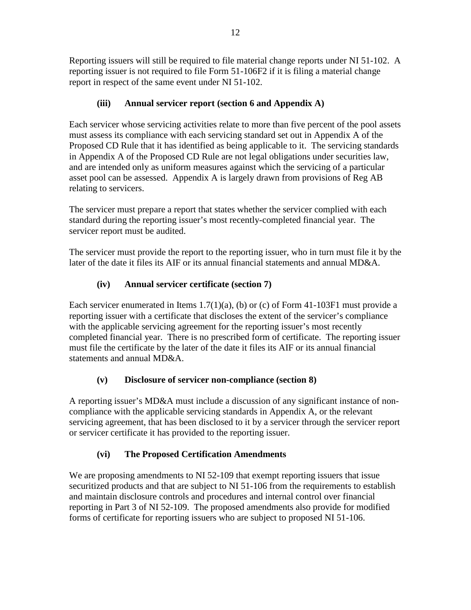Reporting issuers will still be required to file material change reports under NI 51-102. A reporting issuer is not required to file Form 51-106F2 if it is filing a material change report in respect of the same event under NI 51-102.

# **(iii) Annual servicer report (section 6 and Appendix A)**

Each servicer whose servicing activities relate to more than five percent of the pool assets must assess its compliance with each servicing standard set out in Appendix A of the Proposed CD Rule that it has identified as being applicable to it. The servicing standards in Appendix A of the Proposed CD Rule are not legal obligations under securities law, and are intended only as uniform measures against which the servicing of a particular asset pool can be assessed. Appendix A is largely drawn from provisions of Reg AB relating to servicers.

The servicer must prepare a report that states whether the servicer complied with each standard during the reporting issuer's most recently-completed financial year. The servicer report must be audited.

The servicer must provide the report to the reporting issuer, who in turn must file it by the later of the date it files its AIF or its annual financial statements and annual MD&A.

# **(iv) Annual servicer certificate (section 7)**

Each servicer enumerated in Items  $1.7(1)(a)$ , (b) or (c) of Form 41-103F1 must provide a reporting issuer with a certificate that discloses the extent of the servicer's compliance with the applicable servicing agreement for the reporting issuer's most recently completed financial year. There is no prescribed form of certificate. The reporting issuer must file the certificate by the later of the date it files its AIF or its annual financial statements and annual MD&A.

# **(v) Disclosure of servicer non-compliance (section 8)**

A reporting issuer's MD&A must include a discussion of any significant instance of noncompliance with the applicable servicing standards in Appendix A, or the relevant servicing agreement, that has been disclosed to it by a servicer through the servicer report or servicer certificate it has provided to the reporting issuer.

# **(vi) The Proposed Certification Amendments**

We are proposing amendments to NI 52-109 that exempt reporting issuers that issue securitized products and that are subject to NI 51-106 from the requirements to establish and maintain disclosure controls and procedures and internal control over financial reporting in Part 3 of NI 52-109. The proposed amendments also provide for modified forms of certificate for reporting issuers who are subject to proposed NI 51-106.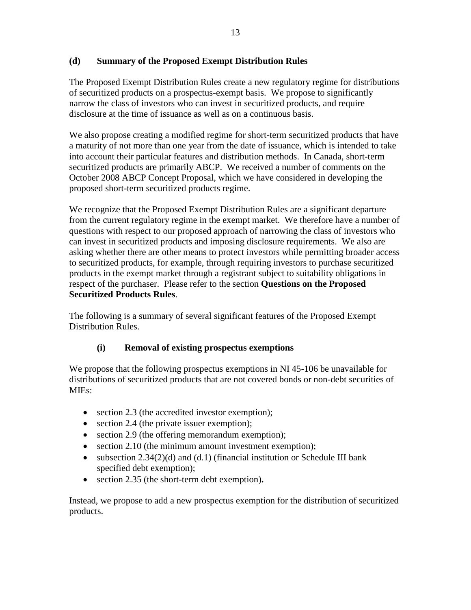## **(d) Summary of the Proposed Exempt Distribution Rules**

The Proposed Exempt Distribution Rules create a new regulatory regime for distributions of securitized products on a prospectus-exempt basis. We propose to significantly narrow the class of investors who can invest in securitized products, and require disclosure at the time of issuance as well as on a continuous basis.

We also propose creating a modified regime for short-term securitized products that have a maturity of not more than one year from the date of issuance, which is intended to take into account their particular features and distribution methods. In Canada, short-term securitized products are primarily ABCP. We received a number of comments on the October 2008 ABCP Concept Proposal, which we have considered in developing the proposed short-term securitized products regime.

We recognize that the Proposed Exempt Distribution Rules are a significant departure from the current regulatory regime in the exempt market. We therefore have a number of questions with respect to our proposed approach of narrowing the class of investors who can invest in securitized products and imposing disclosure requirements. We also are asking whether there are other means to protect investors while permitting broader access to securitized products, for example, through requiring investors to purchase securitized products in the exempt market through a registrant subject to suitability obligations in respect of the purchaser. Please refer to the section **Questions on the Proposed Securitized Products Rules**.

The following is a summary of several significant features of the Proposed Exempt Distribution Rules.

## **(i) Removal of existing prospectus exemptions**

We propose that the following prospectus exemptions in NI 45-106 be unavailable for distributions of securitized products that are not covered bonds or non-debt securities of MIEs:

- section 2.3 (the accredited investor exemption);
- section 2.4 (the private issuer exemption);
- section 2.9 (the offering memorandum exemption);
- section 2.10 (the minimum amount investment exemption);
- subsection  $2.34(2)(d)$  and  $(d.1)$  (financial institution or Schedule III bank specified debt exemption);
- section 2.35 (the short-term debt exemption)**.**

Instead, we propose to add a new prospectus exemption for the distribution of securitized products.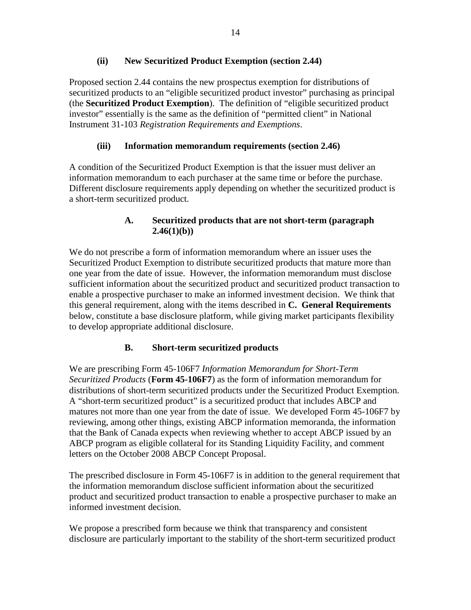#### **(ii) New Securitized Product Exemption (section 2.44)**

Proposed section 2.44 contains the new prospectus exemption for distributions of securitized products to an "eligible securitized product investor" purchasing as principal (the **Securitized Product Exemption**). The definition of "eligible securitized product investor" essentially is the same as the definition of "permitted client" in National Instrument 31-103 *Registration Requirements and Exemptions*.

## **(iii) Information memorandum requirements (section 2.46)**

A condition of the Securitized Product Exemption is that the issuer must deliver an information memorandum to each purchaser at the same time or before the purchase. Different disclosure requirements apply depending on whether the securitized product is a short-term securitized product.

## **A. Securitized products that are not short-term (paragraph 2.46(1)(b))**

We do not prescribe a form of information memorandum where an issuer uses the Securitized Product Exemption to distribute securitized products that mature more than one year from the date of issue. However, the information memorandum must disclose sufficient information about the securitized product and securitized product transaction to enable a prospective purchaser to make an informed investment decision. We think that this general requirement, along with the items described in **C. General Requirements** below, constitute a base disclosure platform, while giving market participants flexibility to develop appropriate additional disclosure.

## **B. Short-term securitized products**

We are prescribing Form 45-106F7 *Information Memorandum for Short-Term Securitized Products* (**Form 45-106F7**) as the form of information memorandum for distributions of short-term securitized products under the Securitized Product Exemption. A "short-term securitized product" is a securitized product that includes ABCP and matures not more than one year from the date of issue. We developed Form 45-106F7 by reviewing, among other things, existing ABCP information memoranda, the information that the Bank of Canada expects when reviewing whether to accept ABCP issued by an ABCP program as eligible collateral for its Standing Liquidity Facility, and comment letters on the October 2008 ABCP Concept Proposal.

The prescribed disclosure in Form 45-106F7 is in addition to the general requirement that the information memorandum disclose sufficient information about the securitized product and securitized product transaction to enable a prospective purchaser to make an informed investment decision.

We propose a prescribed form because we think that transparency and consistent disclosure are particularly important to the stability of the short-term securitized product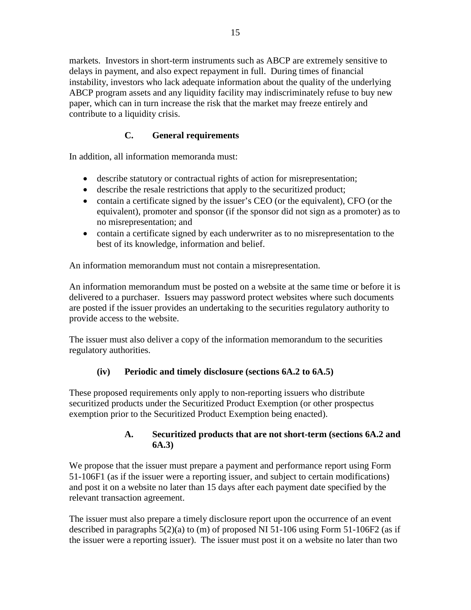markets. Investors in short-term instruments such as ABCP are extremely sensitive to delays in payment, and also expect repayment in full. During times of financial instability, investors who lack adequate information about the quality of the underlying ABCP program assets and any liquidity facility may indiscriminately refuse to buy new paper, which can in turn increase the risk that the market may freeze entirely and contribute to a liquidity crisis.

# **C. General requirements**

In addition, all information memoranda must:

- describe statutory or contractual rights of action for misrepresentation;
- describe the resale restrictions that apply to the securitized product;
- contain a certificate signed by the issuer's CEO (or the equivalent), CFO (or the equivalent), promoter and sponsor (if the sponsor did not sign as a promoter) as to no misrepresentation; and
- contain a certificate signed by each underwriter as to no misrepresentation to the best of its knowledge, information and belief.

An information memorandum must not contain a misrepresentation.

An information memorandum must be posted on a website at the same time or before it is delivered to a purchaser. Issuers may password protect websites where such documents are posted if the issuer provides an undertaking to the securities regulatory authority to provide access to the website.

The issuer must also deliver a copy of the information memorandum to the securities regulatory authorities.

## **(iv) Periodic and timely disclosure (sections 6A.2 to 6A.5)**

These proposed requirements only apply to non-reporting issuers who distribute securitized products under the Securitized Product Exemption (or other prospectus exemption prior to the Securitized Product Exemption being enacted).

## **A. Securitized products that are not short-term (sections 6A.2 and 6A.3)**

We propose that the issuer must prepare a payment and performance report using Form 51-106F1 (as if the issuer were a reporting issuer, and subject to certain modifications) and post it on a website no later than 15 days after each payment date specified by the relevant transaction agreement.

The issuer must also prepare a timely disclosure report upon the occurrence of an event described in paragraphs 5(2)(a) to (m) of proposed NI 51-106 using Form 51-106F2 (as if the issuer were a reporting issuer). The issuer must post it on a website no later than two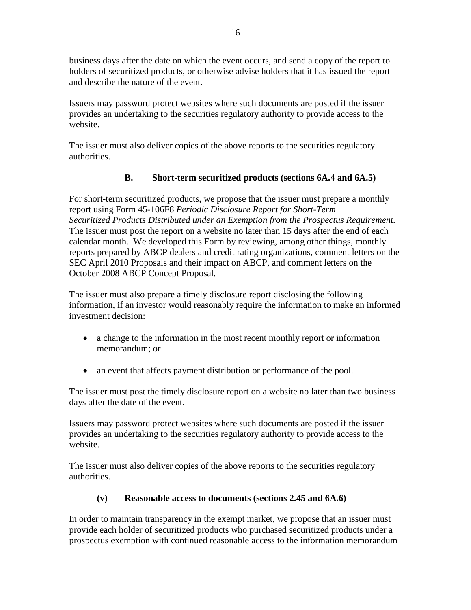business days after the date on which the event occurs, and send a copy of the report to holders of securitized products, or otherwise advise holders that it has issued the report and describe the nature of the event.

Issuers may password protect websites where such documents are posted if the issuer provides an undertaking to the securities regulatory authority to provide access to the website.

The issuer must also deliver copies of the above reports to the securities regulatory authorities.

# **B. Short-term securitized products (sections 6A.4 and 6A.5)**

For short-term securitized products, we propose that the issuer must prepare a monthly report using Form 45-106F8 *Periodic Disclosure Report for Short-Term Securitized Products Distributed under an Exemption from the Prospectus Requirement.* The issuer must post the report on a website no later than 15 days after the end of each calendar month. We developed this Form by reviewing, among other things, monthly reports prepared by ABCP dealers and credit rating organizations, comment letters on the SEC April 2010 Proposals and their impact on ABCP, and comment letters on the October 2008 ABCP Concept Proposal*.*

The issuer must also prepare a timely disclosure report disclosing the following information, if an investor would reasonably require the information to make an informed investment decision:

- a change to the information in the most recent monthly report or information memorandum; or
- an event that affects payment distribution or performance of the pool.

The issuer must post the timely disclosure report on a website no later than two business days after the date of the event.

Issuers may password protect websites where such documents are posted if the issuer provides an undertaking to the securities regulatory authority to provide access to the website.

The issuer must also deliver copies of the above reports to the securities regulatory authorities.

## **(v) Reasonable access to documents (sections 2.45 and 6A.6)**

In order to maintain transparency in the exempt market, we propose that an issuer must provide each holder of securitized products who purchased securitized products under a prospectus exemption with continued reasonable access to the information memorandum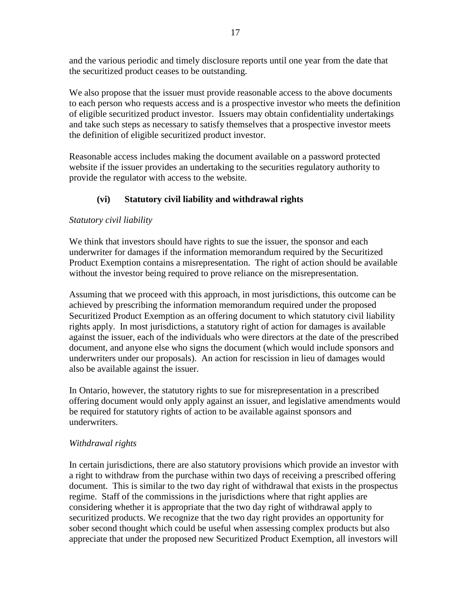and the various periodic and timely disclosure reports until one year from the date that the securitized product ceases to be outstanding.

We also propose that the issuer must provide reasonable access to the above documents to each person who requests access and is a prospective investor who meets the definition of eligible securitized product investor. Issuers may obtain confidentiality undertakings and take such steps as necessary to satisfy themselves that a prospective investor meets the definition of eligible securitized product investor.

Reasonable access includes making the document available on a password protected website if the issuer provides an undertaking to the securities regulatory authority to provide the regulator with access to the website.

## **(vi) Statutory civil liability and withdrawal rights**

#### *Statutory civil liability*

We think that investors should have rights to sue the issuer, the sponsor and each underwriter for damages if the information memorandum required by the Securitized Product Exemption contains a misrepresentation. The right of action should be available without the investor being required to prove reliance on the misrepresentation.

Assuming that we proceed with this approach, in most jurisdictions, this outcome can be achieved by prescribing the information memorandum required under the proposed Securitized Product Exemption as an offering document to which statutory civil liability rights apply. In most jurisdictions, a statutory right of action for damages is available against the issuer, each of the individuals who were directors at the date of the prescribed document, and anyone else who signs the document (which would include sponsors and underwriters under our proposals). An action for rescission in lieu of damages would also be available against the issuer.

In Ontario, however, the statutory rights to sue for misrepresentation in a prescribed offering document would only apply against an issuer, and legislative amendments would be required for statutory rights of action to be available against sponsors and underwriters.

## *Withdrawal rights*

In certain jurisdictions, there are also statutory provisions which provide an investor with a right to withdraw from the purchase within two days of receiving a prescribed offering document. This is similar to the two day right of withdrawal that exists in the prospectus regime. Staff of the commissions in the jurisdictions where that right applies are considering whether it is appropriate that the two day right of withdrawal apply to securitized products. We recognize that the two day right provides an opportunity for sober second thought which could be useful when assessing complex products but also appreciate that under the proposed new Securitized Product Exemption, all investors will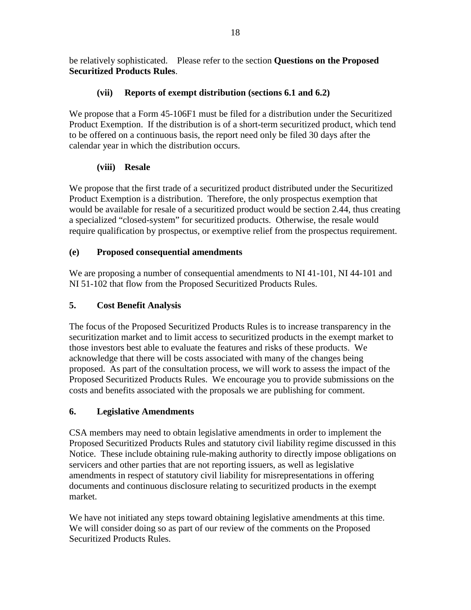be relatively sophisticated. Please refer to the section **Questions on the Proposed Securitized Products Rules**.

# **(vii) Reports of exempt distribution (sections 6.1 and 6.2)**

We propose that a Form 45-106F1 must be filed for a distribution under the Securitized Product Exemption. If the distribution is of a short-term securitized product, which tend to be offered on a continuous basis, the report need only be filed 30 days after the calendar year in which the distribution occurs.

# **(viii) Resale**

We propose that the first trade of a securitized product distributed under the Securitized Product Exemption is a distribution. Therefore, the only prospectus exemption that would be available for resale of a securitized product would be section 2.44, thus creating a specialized "closed-system" for securitized products. Otherwise, the resale would require qualification by prospectus, or exemptive relief from the prospectus requirement.

# **(e) Proposed consequential amendments**

We are proposing a number of consequential amendments to NI 41-101, NI 44-101 and NI 51-102 that flow from the Proposed Securitized Products Rules.

# **5. Cost Benefit Analysis**

The focus of the Proposed Securitized Products Rules is to increase transparency in the securitization market and to limit access to securitized products in the exempt market to those investors best able to evaluate the features and risks of these products. We acknowledge that there will be costs associated with many of the changes being proposed. As part of the consultation process, we will work to assess the impact of the Proposed Securitized Products Rules. We encourage you to provide submissions on the costs and benefits associated with the proposals we are publishing for comment.

# **6. Legislative Amendments**

CSA members may need to obtain legislative amendments in order to implement the Proposed Securitized Products Rules and statutory civil liability regime discussed in this Notice. These include obtaining rule-making authority to directly impose obligations on servicers and other parties that are not reporting issuers, as well as legislative amendments in respect of statutory civil liability for misrepresentations in offering documents and continuous disclosure relating to securitized products in the exempt market.

We have not initiated any steps toward obtaining legislative amendments at this time. We will consider doing so as part of our review of the comments on the Proposed Securitized Products Rules.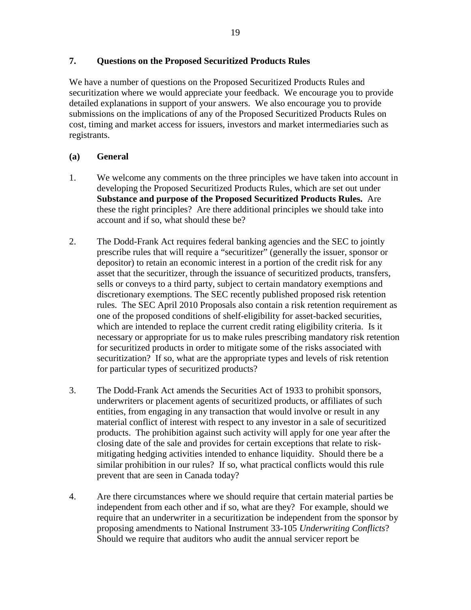#### **7. Questions on the Proposed Securitized Products Rules**

We have a number of questions on the Proposed Securitized Products Rules and securitization where we would appreciate your feedback. We encourage you to provide detailed explanations in support of your answers. We also encourage you to provide submissions on the implications of any of the Proposed Securitized Products Rules on cost, timing and market access for issuers, investors and market intermediaries such as registrants.

#### **(a) General**

- 1. We welcome any comments on the three principles we have taken into account in developing the Proposed Securitized Products Rules, which are set out under **Substance and purpose of the Proposed Securitized Products Rules.** Are these the right principles? Are there additional principles we should take into account and if so, what should these be?
- 2. The Dodd-Frank Act requires federal banking agencies and the SEC to jointly prescribe rules that will require a "securitizer" (generally the issuer, sponsor or depositor) to retain an economic interest in a portion of the credit risk for any asset that the securitizer, through the issuance of securitized products, transfers, sells or conveys to a third party, subject to certain mandatory exemptions and discretionary exemptions. The SEC recently published proposed risk retention rules. The SEC April 2010 Proposals also contain a risk retention requirement as one of the proposed conditions of shelf-eligibility for asset-backed securities, which are intended to replace the current credit rating eligibility criteria. Is it necessary or appropriate for us to make rules prescribing mandatory risk retention for securitized products in order to mitigate some of the risks associated with securitization? If so, what are the appropriate types and levels of risk retention for particular types of securitized products?
- 3. The Dodd-Frank Act amends the Securities Act of 1933 to prohibit sponsors, underwriters or placement agents of securitized products, or affiliates of such entities, from engaging in any transaction that would involve or result in any material conflict of interest with respect to any investor in a sale of securitized products. The prohibition against such activity will apply for one year after the closing date of the sale and provides for certain exceptions that relate to riskmitigating hedging activities intended to enhance liquidity. Should there be a similar prohibition in our rules? If so, what practical conflicts would this rule prevent that are seen in Canada today?
- 4. Are there circumstances where we should require that certain material parties be independent from each other and if so, what are they? For example, should we require that an underwriter in a securitization be independent from the sponsor by proposing amendments to National Instrument 33-105 *Underwriting Conflicts*? Should we require that auditors who audit the annual servicer report be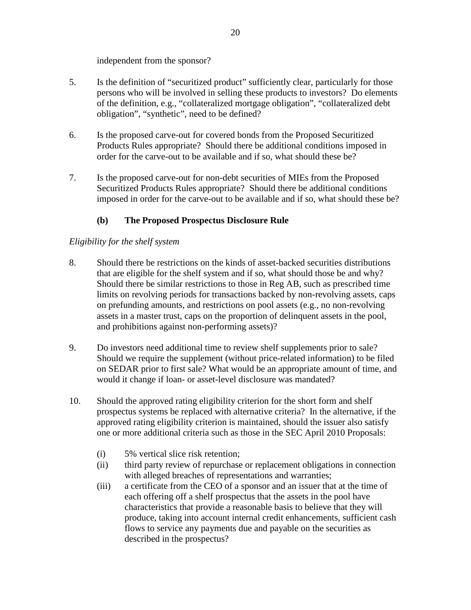independent from the sponsor?

- 5. Is the definition of "securitized product" sufficiently clear, particularly for those persons who will be involved in selling these products to investors? Do elements of the definition, e.g., "collateralized mortgage obligation", "collateralized debt obligation", "synthetic", need to be defined?
- 6. Is the proposed carve-out for covered bonds from the Proposed Securitized Products Rules appropriate? Should there be additional conditions imposed in order for the carve-out to be available and if so, what should these be?
- 7. Is the proposed carve-out for non-debt securities of MIEs from the Proposed Securitized Products Rules appropriate? Should there be additional conditions imposed in order for the carve-out to be available and if so, what should these be?

## **(b) The Proposed Prospectus Disclosure Rule**

#### *Eligibility for the shelf system*

- 8. Should there be restrictions on the kinds of asset-backed securities distributions that are eligible for the shelf system and if so, what should those be and why? Should there be similar restrictions to those in Reg AB, such as prescribed time limits on revolving periods for transactions backed by non-revolving assets, caps on prefunding amounts, and restrictions on pool assets (e.g., no non-revolving assets in a master trust, caps on the proportion of delinquent assets in the pool, and prohibitions against non-performing assets)?
- 9. Do investors need additional time to review shelf supplements prior to sale? Should we require the supplement (without price-related information) to be filed on SEDAR prior to first sale? What would be an appropriate amount of time, and would it change if loan- or asset-level disclosure was mandated?
- 10. Should the approved rating eligibility criterion for the short form and shelf prospectus systems be replaced with alternative criteria? In the alternative, if the approved rating eligibility criterion is maintained, should the issuer also satisfy one or more additional criteria such as those in the SEC April 2010 Proposals:
	- (i) 5% vertical slice risk retention;
	- (ii) third party review of repurchase or replacement obligations in connection with alleged breaches of representations and warranties;
	- (iii) a certificate from the CEO of a sponsor and an issuer that at the time of each offering off a shelf prospectus that the assets in the pool have characteristics that provide a reasonable basis to believe that they will produce, taking into account internal credit enhancements, sufficient cash flows to service any payments due and payable on the securities as described in the prospectus?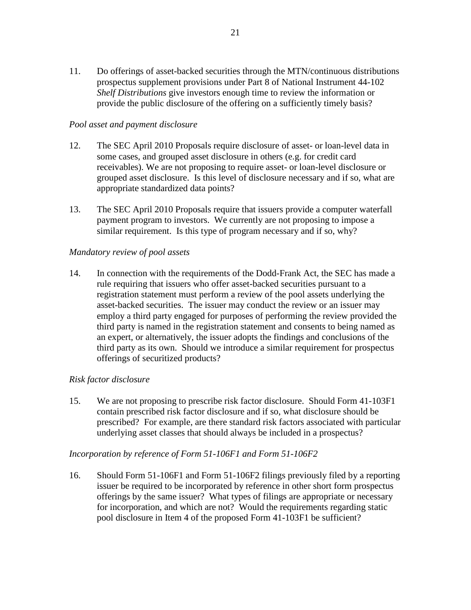11. Do offerings of asset-backed securities through the MTN/continuous distributions prospectus supplement provisions under Part 8 of National Instrument 44-102 *Shelf Distributions* give investors enough time to review the information or provide the public disclosure of the offering on a sufficiently timely basis?

#### *Pool asset and payment disclosure*

- 12. The SEC April 2010 Proposals require disclosure of asset- or loan-level data in some cases, and grouped asset disclosure in others (e.g. for credit card receivables). We are not proposing to require asset- or loan-level disclosure or grouped asset disclosure. Is this level of disclosure necessary and if so, what are appropriate standardized data points?
- 13. The SEC April 2010 Proposals require that issuers provide a computer waterfall payment program to investors. We currently are not proposing to impose a similar requirement. Is this type of program necessary and if so, why?

#### *Mandatory review of pool assets*

14. In connection with the requirements of the Dodd-Frank Act, the SEC has made a rule requiring that issuers who offer asset-backed securities pursuant to a registration statement must perform a review of the pool assets underlying the asset-backed securities. The issuer may conduct the review or an issuer may employ a third party engaged for purposes of performing the review provided the third party is named in the registration statement and consents to being named as an expert, or alternatively, the issuer adopts the findings and conclusions of the third party as its own. Should we introduce a similar requirement for prospectus offerings of securitized products?

## *Risk factor disclosure*

15. We are not proposing to prescribe risk factor disclosure. Should Form 41-103F1 contain prescribed risk factor disclosure and if so, what disclosure should be prescribed? For example, are there standard risk factors associated with particular underlying asset classes that should always be included in a prospectus?

#### *Incorporation by reference of Form 51-106F1 and Form 51-106F2*

16. Should Form 51-106F1 and Form 51-106F2 filings previously filed by a reporting issuer be required to be incorporated by reference in other short form prospectus offerings by the same issuer? What types of filings are appropriate or necessary for incorporation, and which are not? Would the requirements regarding static pool disclosure in Item 4 of the proposed Form 41-103F1 be sufficient?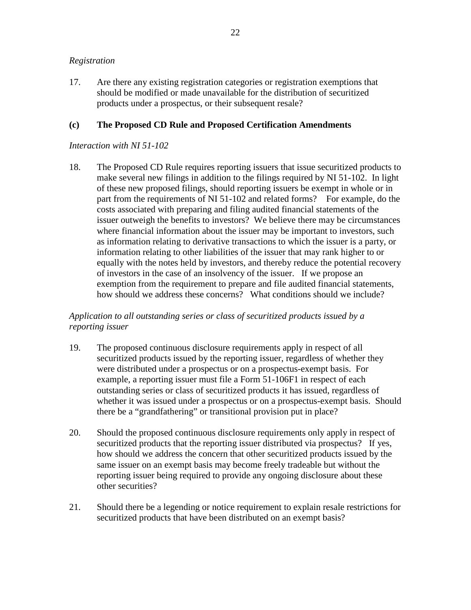#### *Registration*

17. Are there any existing registration categories or registration exemptions that should be modified or made unavailable for the distribution of securitized products under a prospectus, or their subsequent resale?

## **(c) The Proposed CD Rule and Proposed Certification Amendments**

#### *Interaction with NI 51-102*

18. The Proposed CD Rule requires reporting issuers that issue securitized products to make several new filings in addition to the filings required by NI 51-102. In light of these new proposed filings, should reporting issuers be exempt in whole or in part from the requirements of NI 51-102 and related forms? For example, do the costs associated with preparing and filing audited financial statements of the issuer outweigh the benefits to investors? We believe there may be circumstances where financial information about the issuer may be important to investors, such as information relating to derivative transactions to which the issuer is a party, or information relating to other liabilities of the issuer that may rank higher to or equally with the notes held by investors, and thereby reduce the potential recovery of investors in the case of an insolvency of the issuer. If we propose an exemption from the requirement to prepare and file audited financial statements, how should we address these concerns? What conditions should we include?

## *Application to all outstanding series or class of securitized products issued by a reporting issuer*

- 19. The proposed continuous disclosure requirements apply in respect of all securitized products issued by the reporting issuer, regardless of whether they were distributed under a prospectus or on a prospectus-exempt basis. For example, a reporting issuer must file a Form 51-106F1 in respect of each outstanding series or class of securitized products it has issued, regardless of whether it was issued under a prospectus or on a prospectus-exempt basis. Should there be a "grandfathering" or transitional provision put in place?
- 20. Should the proposed continuous disclosure requirements only apply in respect of securitized products that the reporting issuer distributed via prospectus? If yes, how should we address the concern that other securitized products issued by the same issuer on an exempt basis may become freely tradeable but without the reporting issuer being required to provide any ongoing disclosure about these other securities?
- 21. Should there be a legending or notice requirement to explain resale restrictions for securitized products that have been distributed on an exempt basis?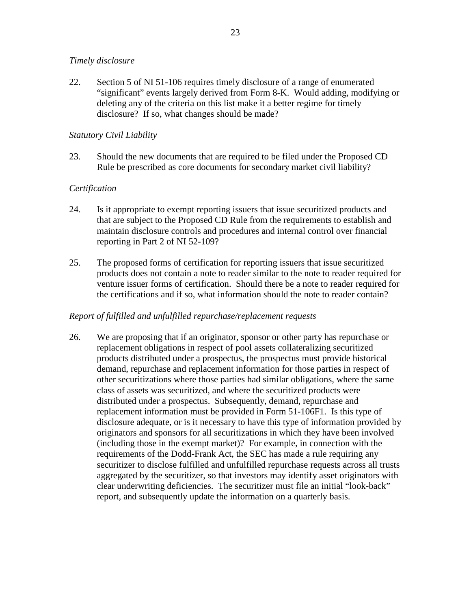#### *Timely disclosure*

22. Section 5 of NI 51-106 requires timely disclosure of a range of enumerated "significant" events largely derived from Form 8-K. Would adding, modifying or deleting any of the criteria on this list make it a better regime for timely disclosure? If so, what changes should be made?

#### *Statutory Civil Liability*

23. Should the new documents that are required to be filed under the Proposed CD Rule be prescribed as core documents for secondary market civil liability?

#### *Certification*

- 24. Is it appropriate to exempt reporting issuers that issue securitized products and that are subject to the Proposed CD Rule from the requirements to establish and maintain disclosure controls and procedures and internal control over financial reporting in Part 2 of NI 52-109?
- 25. The proposed forms of certification for reporting issuers that issue securitized products does not contain a note to reader similar to the note to reader required for venture issuer forms of certification. Should there be a note to reader required for the certifications and if so, what information should the note to reader contain?

#### *Report of fulfilled and unfulfilled repurchase/replacement requests*

26. We are proposing that if an originator, sponsor or other party has repurchase or replacement obligations in respect of pool assets collateralizing securitized products distributed under a prospectus, the prospectus must provide historical demand, repurchase and replacement information for those parties in respect of other securitizations where those parties had similar obligations, where the same class of assets was securitized, and where the securitized products were distributed under a prospectus. Subsequently, demand, repurchase and replacement information must be provided in Form 51-106F1. Is this type of disclosure adequate, or is it necessary to have this type of information provided by originators and sponsors for all securitizations in which they have been involved (including those in the exempt market)? For example, in connection with the requirements of the Dodd-Frank Act, the SEC has made a rule requiring any securitizer to disclose fulfilled and unfulfilled repurchase requests across all trusts aggregated by the securitizer, so that investors may identify asset originators with clear underwriting deficiencies. The securitizer must file an initial "look-back" report, and subsequently update the information on a quarterly basis.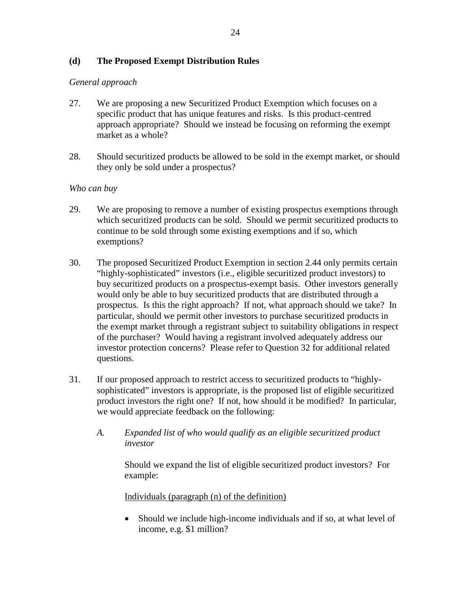#### **(d) The Proposed Exempt Distribution Rules**

#### *General approach*

- 27. We are proposing a new Securitized Product Exemption which focuses on a specific product that has unique features and risks. Is this product-centred approach appropriate? Should we instead be focusing on reforming the exempt market as a whole?
- 28. Should securitized products be allowed to be sold in the exempt market, or should they only be sold under a prospectus?

#### *Who can buy*

- 29. We are proposing to remove a number of existing prospectus exemptions through which securitized products can be sold. Should we permit securitized products to continue to be sold through some existing exemptions and if so, which exemptions?
- 30. The proposed Securitized Product Exemption in section 2.44 only permits certain "highly-sophisticated" investors (i.e., eligible securitized product investors) to buy securitized products on a prospectus-exempt basis. Other investors generally would only be able to buy securitized products that are distributed through a prospectus. Is this the right approach? If not, what approach should we take? In particular, should we permit other investors to purchase securitized products in the exempt market through a registrant subject to suitability obligations in respect of the purchaser? Would having a registrant involved adequately address our investor protection concerns? Please refer to Question 32 for additional related questions.
- 31. If our proposed approach to restrict access to securitized products to "highlysophisticated" investors is appropriate, is the proposed list of eligible securitized product investors the right one? If not, how should it be modified? In particular, we would appreciate feedback on the following:
	- *A. Expanded list of who would qualify as an eligible securitized product investor*

Should we expand the list of eligible securitized product investors? For example:

Individuals (paragraph (n) of the definition)

 Should we include high-income individuals and if so, at what level of income, e.g. \$1 million?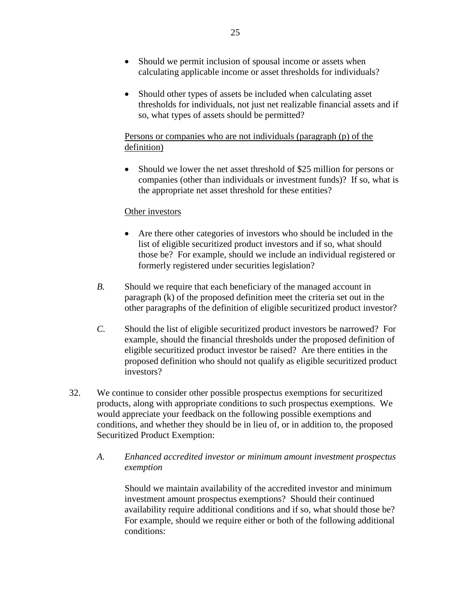- Should we permit inclusion of spousal income or assets when calculating applicable income or asset thresholds for individuals?
- Should other types of assets be included when calculating asset thresholds for individuals, not just net realizable financial assets and if so, what types of assets should be permitted?

## Persons or companies who are not individuals (paragraph (p) of the definition)

• Should we lower the net asset threshold of \$25 million for persons or companies (other than individuals or investment funds)? If so, what is the appropriate net asset threshold for these entities?

#### Other investors

- Are there other categories of investors who should be included in the list of eligible securitized product investors and if so, what should those be? For example, should we include an individual registered or formerly registered under securities legislation?
- *B.* Should we require that each beneficiary of the managed account in paragraph (k) of the proposed definition meet the criteria set out in the other paragraphs of the definition of eligible securitized product investor?
- *C.* Should the list of eligible securitized product investors be narrowed? For example, should the financial thresholds under the proposed definition of eligible securitized product investor be raised? Are there entities in the proposed definition who should not qualify as eligible securitized product investors?
- 32. We continue to consider other possible prospectus exemptions for securitized products, along with appropriate conditions to such prospectus exemptions. We would appreciate your feedback on the following possible exemptions and conditions, and whether they should be in lieu of, or in addition to, the proposed Securitized Product Exemption:
	- *A. Enhanced accredited investor or minimum amount investment prospectus exemption*

Should we maintain availability of the accredited investor and minimum investment amount prospectus exemptions? Should their continued availability require additional conditions and if so, what should those be? For example, should we require either or both of the following additional conditions: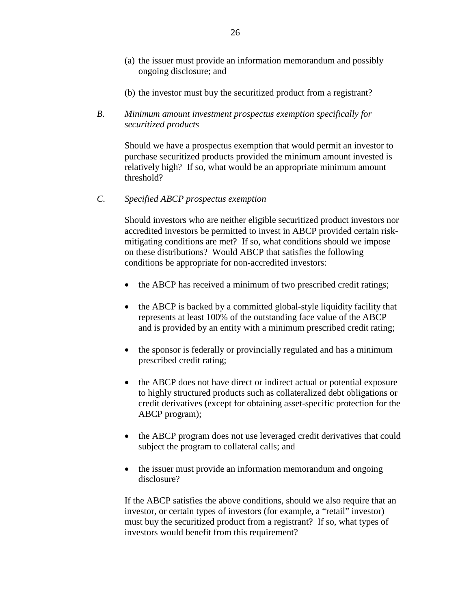- (a) the issuer must provide an information memorandum and possibly ongoing disclosure; and
- (b) the investor must buy the securitized product from a registrant?
- *B. Minimum amount investment prospectus exemption specifically for securitized products*

Should we have a prospectus exemption that would permit an investor to purchase securitized products provided the minimum amount invested is relatively high? If so, what would be an appropriate minimum amount threshold?

*C. Specified ABCP prospectus exemption*

Should investors who are neither eligible securitized product investors nor accredited investors be permitted to invest in ABCP provided certain riskmitigating conditions are met? If so, what conditions should we impose on these distributions? Would ABCP that satisfies the following conditions be appropriate for non-accredited investors:

- the ABCP has received a minimum of two prescribed credit ratings;
- the ABCP is backed by a committed global-style liquidity facility that represents at least 100% of the outstanding face value of the ABCP and is provided by an entity with a minimum prescribed credit rating;
- the sponsor is federally or provincially regulated and has a minimum prescribed credit rating;
- the ABCP does not have direct or indirect actual or potential exposure to highly structured products such as collateralized debt obligations or credit derivatives (except for obtaining asset-specific protection for the ABCP program);
- the ABCP program does not use leveraged credit derivatives that could subject the program to collateral calls; and
- the issuer must provide an information memorandum and ongoing disclosure?

If the ABCP satisfies the above conditions, should we also require that an investor, or certain types of investors (for example, a "retail" investor) must buy the securitized product from a registrant? If so, what types of investors would benefit from this requirement?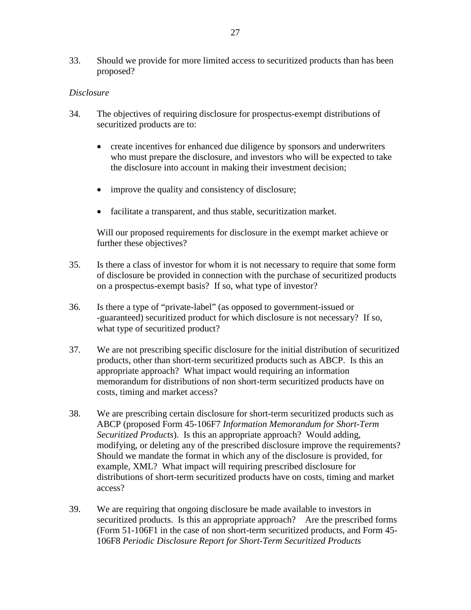33. Should we provide for more limited access to securitized products than has been proposed?

#### *Disclosure*

- 34. The objectives of requiring disclosure for prospectus-exempt distributions of securitized products are to:
	- create incentives for enhanced due diligence by sponsors and underwriters who must prepare the disclosure, and investors who will be expected to take the disclosure into account in making their investment decision;
	- improve the quality and consistency of disclosure;
	- facilitate a transparent, and thus stable, securitization market.

Will our proposed requirements for disclosure in the exempt market achieve or further these objectives?

- 35. Is there a class of investor for whom it is not necessary to require that some form of disclosure be provided in connection with the purchase of securitized products on a prospectus-exempt basis? If so, what type of investor?
- 36. Is there a type of "private-label" (as opposed to government-issued or -guaranteed) securitized product for which disclosure is not necessary? If so, what type of securitized product?
- 37. We are not prescribing specific disclosure for the initial distribution of securitized products, other than short-term securitized products such as ABCP. Is this an appropriate approach? What impact would requiring an information memorandum for distributions of non short-term securitized products have on costs, timing and market access?
- 38. We are prescribing certain disclosure for short-term securitized products such as ABCP (proposed Form 45-106F7 *Information Memorandum for Short-Term Securitized Products*). Is this an appropriate approach? Would adding, modifying, or deleting any of the prescribed disclosure improve the requirements? Should we mandate the format in which any of the disclosure is provided, for example, XML? What impact will requiring prescribed disclosure for distributions of short-term securitized products have on costs, timing and market access?
- 39. We are requiring that ongoing disclosure be made available to investors in securitized products. Is this an appropriate approach? Are the prescribed forms (Form 51-106F1 in the case of non short-term securitized products, and Form 45- 106F8 *Periodic Disclosure Report for Short-Term Securitized Products*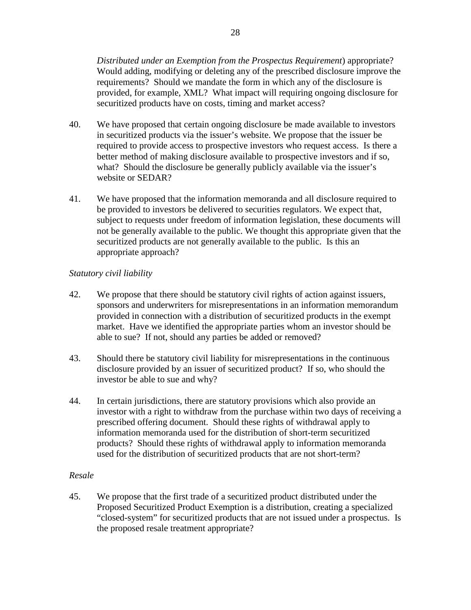*Distributed under an Exemption from the Prospectus Requirement*) appropriate? Would adding, modifying or deleting any of the prescribed disclosure improve the requirements? Should we mandate the form in which any of the disclosure is provided, for example, XML? What impact will requiring ongoing disclosure for securitized products have on costs, timing and market access?

- 40. We have proposed that certain ongoing disclosure be made available to investors in securitized products via the issuer's website. We propose that the issuer be required to provide access to prospective investors who request access. Is there a better method of making disclosure available to prospective investors and if so, what? Should the disclosure be generally publicly available via the issuer's website or SEDAR?
- 41. We have proposed that the information memoranda and all disclosure required to be provided to investors be delivered to securities regulators. We expect that, subject to requests under freedom of information legislation, these documents will not be generally available to the public. We thought this appropriate given that the securitized products are not generally available to the public. Is this an appropriate approach?

## *Statutory civil liability*

- 42. We propose that there should be statutory civil rights of action against issuers, sponsors and underwriters for misrepresentations in an information memorandum provided in connection with a distribution of securitized products in the exempt market. Have we identified the appropriate parties whom an investor should be able to sue? If not, should any parties be added or removed?
- 43. Should there be statutory civil liability for misrepresentations in the continuous disclosure provided by an issuer of securitized product? If so, who should the investor be able to sue and why?
- 44. In certain jurisdictions, there are statutory provisions which also provide an investor with a right to withdraw from the purchase within two days of receiving a prescribed offering document. Should these rights of withdrawal apply to information memoranda used for the distribution of short-term securitized products? Should these rights of withdrawal apply to information memoranda used for the distribution of securitized products that are not short-term?

#### *Resale*

45. We propose that the first trade of a securitized product distributed under the Proposed Securitized Product Exemption is a distribution, creating a specialized "closed-system" for securitized products that are not issued under a prospectus. Is the proposed resale treatment appropriate?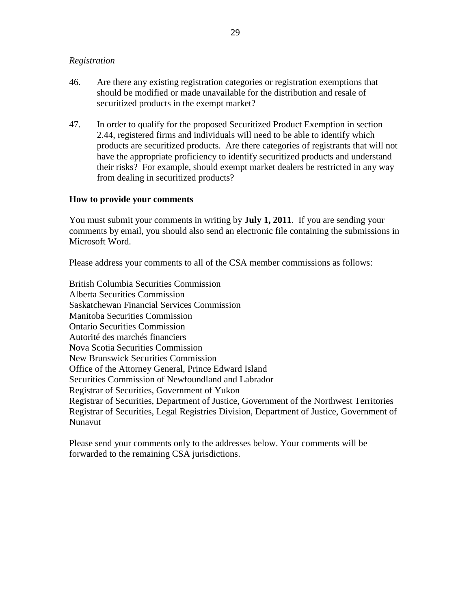#### *Registration*

- 46. Are there any existing registration categories or registration exemptions that should be modified or made unavailable for the distribution and resale of securitized products in the exempt market?
- 47. In order to qualify for the proposed Securitized Product Exemption in section 2.44, registered firms and individuals will need to be able to identify which products are securitized products. Are there categories of registrants that will not have the appropriate proficiency to identify securitized products and understand their risks? For example, should exempt market dealers be restricted in any way from dealing in securitized products?

#### **How to provide your comments**

You must submit your comments in writing by **July 1, 2011**. If you are sending your comments by email, you should also send an electronic file containing the submissions in Microsoft Word.

Please address your comments to all of the CSA member commissions as follows:

British Columbia Securities Commission Alberta Securities Commission Saskatchewan Financial Services Commission Manitoba Securities Commission Ontario Securities Commission Autorité des marchés financiers Nova Scotia Securities Commission New Brunswick Securities Commission Office of the Attorney General, Prince Edward Island Securities Commission of Newfoundland and Labrador Registrar of Securities, Government of Yukon Registrar of Securities, Department of Justice, Government of the Northwest Territories Registrar of Securities, Legal Registries Division, Department of Justice, Government of Nunavut

Please send your comments only to the addresses below. Your comments will be forwarded to the remaining CSA jurisdictions.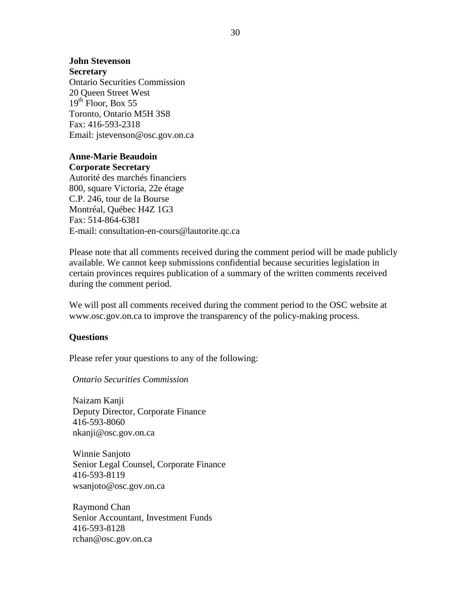#### **John Stevenson**

**Secretary** Ontario Securities Commission 20 Queen Street West  $19^{th}$  Floor, Box 55 Toronto, Ontario M5H 3S8 Fax: 416-593-2318 Email: jstevenson@osc.gov.on.ca

#### **Anne-Marie Beaudoin Corporate Secretary**

Autorité des marchés financiers 800, square Victoria, 22e étage C.P. 246, tour de la Bourse Montréal, Québec H4Z 1G3 Fax: 514-864-6381 E-mail: consultation-en-cours@lautorite.qc.ca

Please note that all comments received during the comment period will be made publicly available. We cannot keep submissions confidential because securities legislation in certain provinces requires publication of a summary of the written comments received during the comment period.

We will post all comments received during the comment period to the OSC website at www.osc.gov.on.ca to improve the transparency of the policy-making process.

#### **Questions**

Please refer your questions to any of the following:

*Ontario Securities Commission*

Naizam Kanji Deputy Director, Corporate Finance 416-593-8060 [nkanji@osc.gov.on.ca](mailto:nkanji@osc.gov.on.ca)

Winnie Sanjoto Senior Legal Counsel, Corporate Finance 416-593-8119 [wsanjoto@osc.gov.on.ca](mailto:wsanjoto@osc.gov.on.ca)

Raymond Chan Senior Accountant, Investment Funds 416-593-8128 [rchan@osc.gov.on.ca](mailto:rchan@osc.gov.on.ca)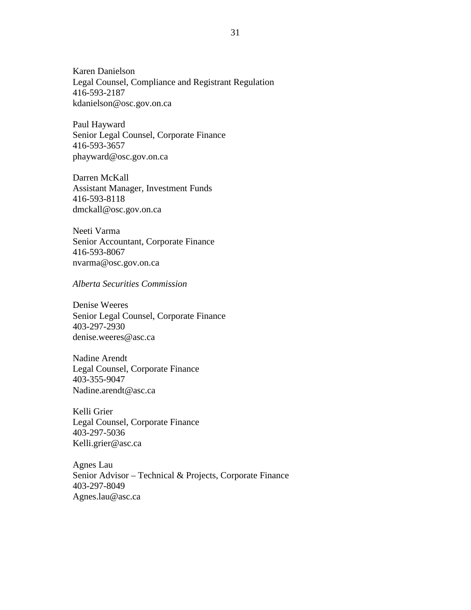Karen Danielson Legal Counsel, Compliance and Registrant Regulation 416-593-2187 [kdanielson@osc.gov.on.ca](mailto:kdanielson@osc.gov.on.ca)

Paul Hayward Senior Legal Counsel, Corporate Finance 416-593-3657 [phayward@osc.gov.on.ca](mailto:phayward@osc.gov.on.ca)

Darren McKall Assistant Manager, Investment Funds 416-593-8118 [dmckall@osc.gov.on.ca](mailto:dmckall@osc.gov.on.ca)

Neeti Varma Senior Accountant, Corporate Finance 416-593-8067 [nvarma@osc.gov.on.ca](mailto:nvarma@osc.gov.on.ca)

*Alberta Securities Commission*

Denise Weeres Senior Legal Counsel, Corporate Finance 403-297-2930 [denise.weeres@asc.ca](mailto:denise.weeres@asc.ca)

Nadine Arendt Legal Counsel, Corporate Finance 403-355-9047 [Nadine.arendt@asc.ca](mailto:Nadine.arendt@asc.ca)

Kelli Grier Legal Counsel, Corporate Finance 403-297-5036 [Kelli.grier@asc.ca](mailto:Kelli.grier@asc.ca)

Agnes Lau Senior Advisor – Technical & Projects, Corporate Finance 403-297-8049 [Agnes.lau@asc.ca](mailto:Agnes.lau@asc.ca)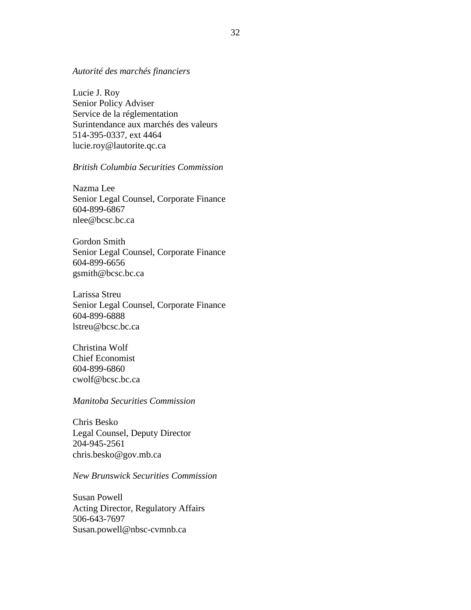#### *Autorité des marchés financiers*

Lucie J. Roy Senior Policy Adviser Service de la réglementation Surintendance aux marchés des valeurs 514-395-0337, ext 4464 [lucie.roy@lautorite.qc.ca](mailto:lucie.roy@lautorite.qc.ca)

#### *British Columbia Securities Commission*

Nazma Lee Senior Legal Counsel, Corporate Finance 604-899-6867 [nlee@bcsc.bc.ca](mailto:nlee@bcsc.bc.ca)

Gordon Smith Senior Legal Counsel, Corporate Finance 604-899-6656 [gsmith@bcsc.bc.ca](mailto:gsmith@bcsc.bc.ca)

Larissa Streu Senior Legal Counsel, Corporate Finance 604-899-6888 [lstreu@bcsc.bc.ca](mailto:lstreu@bcsc.bc.ca)

Christina Wolf Chief Economist 604-899-6860 [cwolf@bcsc.bc.ca](mailto:cwolf@bcsc.bc.ca)

*Manitoba Securities Commission*

Chris Besko Legal Counsel, Deputy Director 204-945-2561 [chris.besko@gov.mb.ca](mailto:chris.besko@gov.mb.ca)

#### *New Brunswick Securities Commission*

Susan Powell Acting Director, Regulatory Affairs 506-643-7697 [Susan.powell@nbsc-cvmnb.ca](mailto:Susan.powell@nbsc-cvmnb.ca)